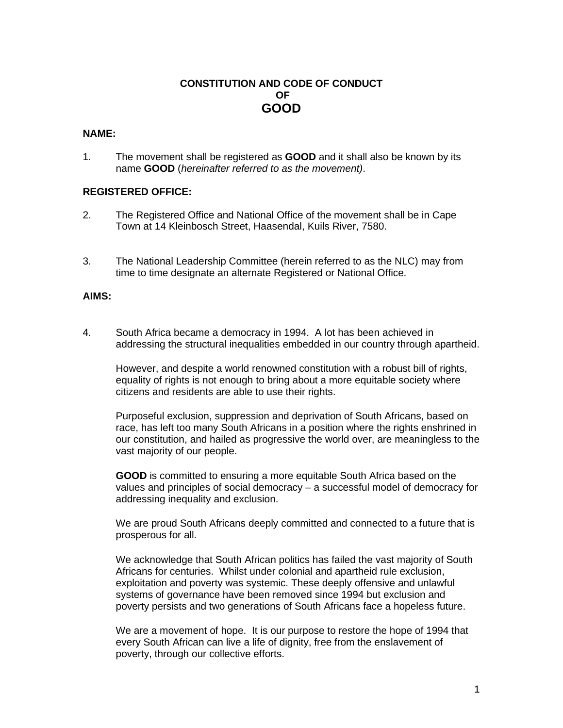## **CONSTITUTION AND CODE OF CONDUCT OF GOOD**

### **NAME:**

1. The movement shall be registered as **GOOD** and it shall also be known by its name **GOOD** (*hereinafter referred to as the movement)*.

#### **REGISTERED OFFICE:**

- 2. The Registered Office and National Office of the movement shall be in Cape Town at 14 Kleinbosch Street, Haasendal, Kuils River, 7580.
- 3. The National Leadership Committee (herein referred to as the NLC) may from time to time designate an alternate Registered or National Office.

#### **AIMS:**

4. South Africa became a democracy in 1994. A lot has been achieved in addressing the structural inequalities embedded in our country through apartheid.

However, and despite a world renowned constitution with a robust bill of rights, equality of rights is not enough to bring about a more equitable society where citizens and residents are able to use their rights.

Purposeful exclusion, suppression and deprivation of South Africans, based on race, has left too many South Africans in a position where the rights enshrined in our constitution, and hailed as progressive the world over, are meaningless to the vast majority of our people.

**GOOD** is committed to ensuring a more equitable South Africa based on the values and principles of social democracy – a successful model of democracy for addressing inequality and exclusion.

We are proud South Africans deeply committed and connected to a future that is prosperous for all.

We acknowledge that South African politics has failed the vast majority of South Africans for centuries. Whilst under colonial and apartheid rule exclusion, exploitation and poverty was systemic. These deeply offensive and unlawful systems of governance have been removed since 1994 but exclusion and poverty persists and two generations of South Africans face a hopeless future.

We are a movement of hope. It is our purpose to restore the hope of 1994 that every South African can live a life of dignity, free from the enslavement of poverty, through our collective efforts.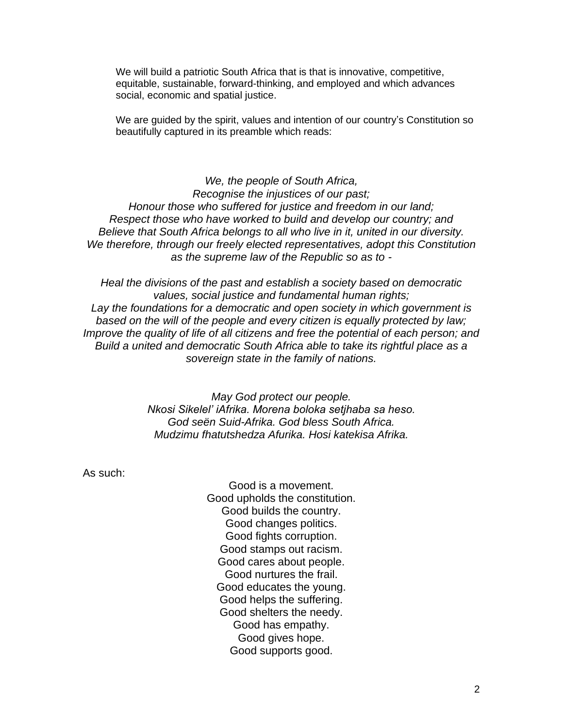We will build a patriotic South Africa that is that is innovative, competitive, equitable, sustainable, forward-thinking, and employed and which advances social, economic and spatial justice.

We are guided by the spirit, values and intention of our country's Constitution so beautifully captured in its preamble which reads:

*We, the people of South Africa, Recognise the injustices of our past; Honour those who suffered for justice and freedom in our land; Respect those who have worked to build and develop our country; and Believe that South Africa belongs to all who live in it, united in our diversity. We therefore, through our freely elected representatives, adopt this Constitution as the supreme law of the Republic so as to -*

*Heal the divisions of the past and establish a society based on democratic values, social justice and fundamental human rights; Lay the foundations for a democratic and open society in which government is based on the will of the people and every citizen is equally protected by law; Improve the quality of life of all citizens and free the potential of each person; and Build a united and democratic South Africa able to take its rightful place as a sovereign state in the family of nations.*

> *May God protect our people. Nkosi Sikelel' iAfrika. Morena boloka setjhaba sa heso. God seën Suid-Afrika. God bless South Africa. Mudzimu fhatutshedza Afurika. Hosi katekisa Afrika.*

As such:

Good is a movement. Good upholds the constitution. Good builds the country. Good changes politics. Good fights corruption. Good stamps out racism. Good cares about people. Good nurtures the frail. Good educates the young. Good helps the suffering. Good shelters the needy. Good has empathy. Good gives hope. Good supports good.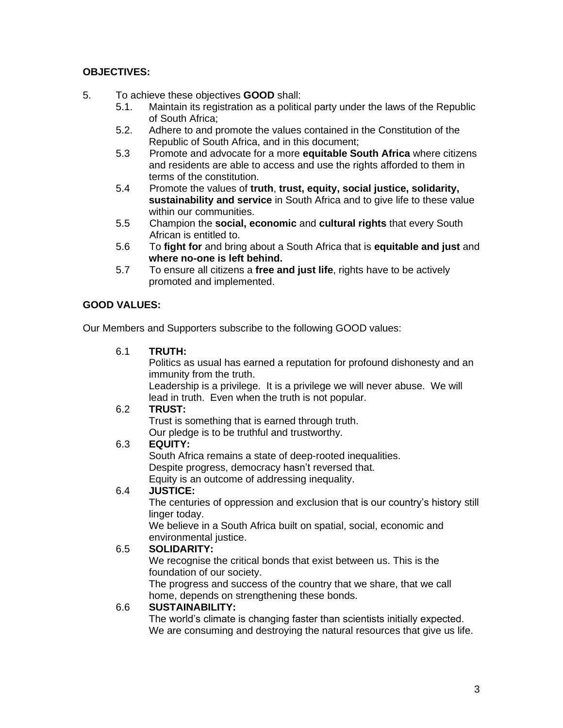## **OBJECTIVES:**

- 5. To achieve these objectives **GOOD** shall:
	- 5.1. Maintain its registration as a political party under the laws of the Republic of South Africa;
	- 5.2. Adhere to and promote the values contained in the Constitution of the Republic of South Africa, and in this document;
	- 5.3 Promote and advocate for a more **equitable South Africa** where citizens and residents are able to access and use the rights afforded to them in terms of the constitution.
	- 5.4 Promote the values of **truth**, **trust, equity, social justice, solidarity, sustainability and service** in South Africa and to give life to these value within our communities.
	- 5.5 Champion the **social, economic** and **cultural rights** that every South African is entitled to.
	- 5.6 To **fight for** and bring about a South Africa that is **equitable and just** and **where no-one is left behind.**
	- 5.7 To ensure all citizens a **free and just life**, rights have to be actively promoted and implemented.

## **GOOD VALUES:**

Our Members and Supporters subscribe to the following GOOD values:

6.1 **TRUTH:**

Politics as usual has earned a reputation for profound dishonesty and an immunity from the truth.

Leadership is a privilege. It is a privilege we will never abuse. We will lead in truth. Even when the truth is not popular.

## 6.2 **TRUST:**

Trust is something that is earned through truth. Our pledge is to be truthful and trustworthy.

## 6.3 **EQUITY:**

South Africa remains a state of deep-rooted inequalities. Despite progress, democracy hasn't reversed that. Equity is an outcome of addressing inequality.

## 6.4 **JUSTICE:**

The centuries of oppression and exclusion that is our country's history still linger today.

We believe in a South Africa built on spatial, social, economic and environmental justice.

## 6.5 **SOLIDARITY:**

We recognise the critical bonds that exist between us. This is the foundation of our society.

The progress and success of the country that we share, that we call home, depends on strengthening these bonds.

## 6.6 **SUSTAINABILITY:**

The world's climate is changing faster than scientists initially expected. We are consuming and destroying the natural resources that give us life.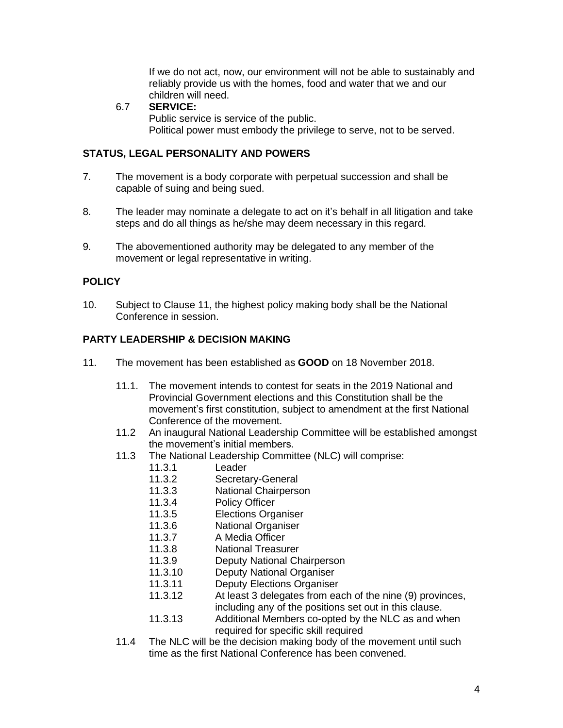If we do not act, now, our environment will not be able to sustainably and reliably provide us with the homes, food and water that we and our children will need.

### 6.7 **SERVICE:**

Public service is service of the public. Political power must embody the privilege to serve, not to be served.

### **STATUS, LEGAL PERSONALITY AND POWERS**

- 7. The movement is a body corporate with perpetual succession and shall be capable of suing and being sued.
- 8. The leader may nominate a delegate to act on it's behalf in all litigation and take steps and do all things as he/she may deem necessary in this regard.
- 9. The abovementioned authority may be delegated to any member of the movement or legal representative in writing.

## **POLICY**

10. Subject to Clause 11, the highest policy making body shall be the National Conference in session.

## **PARTY LEADERSHIP & DECISION MAKING**

- 11. The movement has been established as **GOOD** on 18 November 2018.
	- 11.1. The movement intends to contest for seats in the 2019 National and Provincial Government elections and this Constitution shall be the movement's first constitution, subject to amendment at the first National Conference of the movement.
	- 11.2 An inaugural National Leadership Committee will be established amongst the movement's initial members.
	- 11.3 The National Leadership Committee (NLC) will comprise:
		- 11.3.1 Leader
		- 11.3.2 Secretary-General
		- 11.3.3 National Chairperson
		- 11.3.4 Policy Officer
		- 11.3.5 Elections Organiser
		- 11.3.6 National Organiser
		- 11.3.7 A Media Officer
		- 11.3.8 National Treasurer
		- 11.3.9 Deputy National Chairperson
		- 11.3.10 Deputy National Organiser
		- 11.3.11 Deputy Elections Organiser
		- 11.3.12 At least 3 delegates from each of the nine (9) provinces, including any of the positions set out in this clause.
		- 11.3.13 Additional Members co-opted by the NLC as and when required for specific skill required
	- 11.4 The NLC will be the decision making body of the movement until such time as the first National Conference has been convened.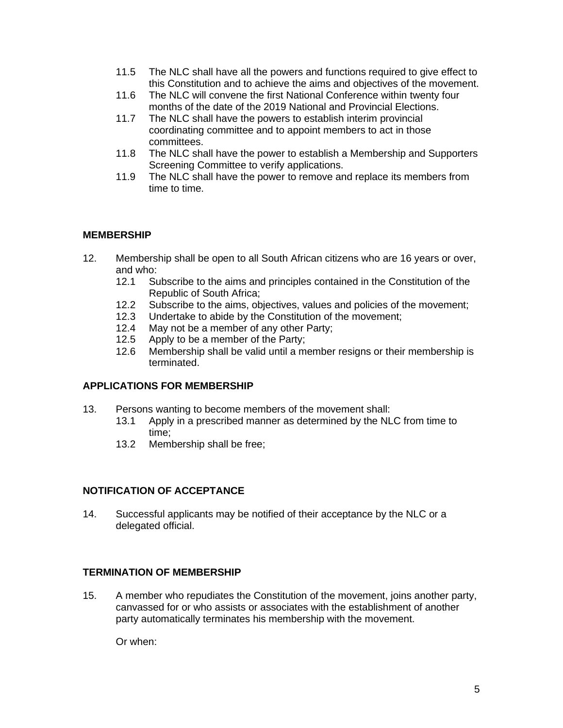- 11.5 The NLC shall have all the powers and functions required to give effect to this Constitution and to achieve the aims and objectives of the movement.
- 11.6 The NLC will convene the first National Conference within twenty four months of the date of the 2019 National and Provincial Elections.
- 11.7 The NLC shall have the powers to establish interim provincial coordinating committee and to appoint members to act in those committees.
- 11.8 The NLC shall have the power to establish a Membership and Supporters Screening Committee to verify applications.
- 11.9 The NLC shall have the power to remove and replace its members from time to time.

## **MEMBERSHIP**

- 12. Membership shall be open to all South African citizens who are 16 years or over, and who:
	- 12.1 Subscribe to the aims and principles contained in the Constitution of the Republic of South Africa;
	- 12.2 Subscribe to the aims, objectives, values and policies of the movement;
	- 12.3 Undertake to abide by the Constitution of the movement;
	- 12.4 May not be a member of any other Party;
	- 12.5 Apply to be a member of the Party;
	- 12.6 Membership shall be valid until a member resigns or their membership is terminated.

## **APPLICATIONS FOR MEMBERSHIP**

- 13. Persons wanting to become members of the movement shall:
	- 13.1 Apply in a prescribed manner as determined by the NLC from time to time;
	- 13.2 Membership shall be free;

## **NOTIFICATION OF ACCEPTANCE**

14. Successful applicants may be notified of their acceptance by the NLC or a delegated official.

## **TERMINATION OF MEMBERSHIP**

15. A member who repudiates the Constitution of the movement, joins another party, canvassed for or who assists or associates with the establishment of another party automatically terminates his membership with the movement.

Or when: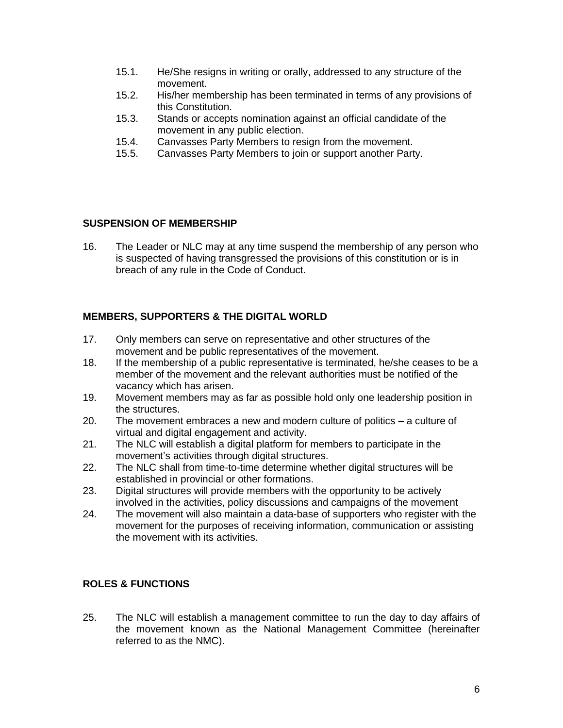- 15.1. He/She resigns in writing or orally, addressed to any structure of the movement.
- 15.2. His/her membership has been terminated in terms of any provisions of this Constitution.
- 15.3. Stands or accepts nomination against an official candidate of the movement in any public election.
- 15.4. Canvasses Party Members to resign from the movement.
- 15.5. Canvasses Party Members to join or support another Party.

## **SUSPENSION OF MEMBERSHIP**

16. The Leader or NLC may at any time suspend the membership of any person who is suspected of having transgressed the provisions of this constitution or is in breach of any rule in the Code of Conduct.

## **MEMBERS, SUPPORTERS & THE DIGITAL WORLD**

- 17. Only members can serve on representative and other structures of the movement and be public representatives of the movement.
- 18. If the membership of a public representative is terminated, he/she ceases to be a member of the movement and the relevant authorities must be notified of the vacancy which has arisen.
- 19. Movement members may as far as possible hold only one leadership position in the structures.
- 20. The movement embraces a new and modern culture of politics a culture of virtual and digital engagement and activity.
- 21. The NLC will establish a digital platform for members to participate in the movement's activities through digital structures.
- 22. The NLC shall from time-to-time determine whether digital structures will be established in provincial or other formations.
- 23. Digital structures will provide members with the opportunity to be actively involved in the activities, policy discussions and campaigns of the movement
- 24. The movement will also maintain a data-base of supporters who register with the movement for the purposes of receiving information, communication or assisting the movement with its activities.

## **ROLES & FUNCTIONS**

25. The NLC will establish a management committee to run the day to day affairs of the movement known as the National Management Committee (hereinafter referred to as the NMC).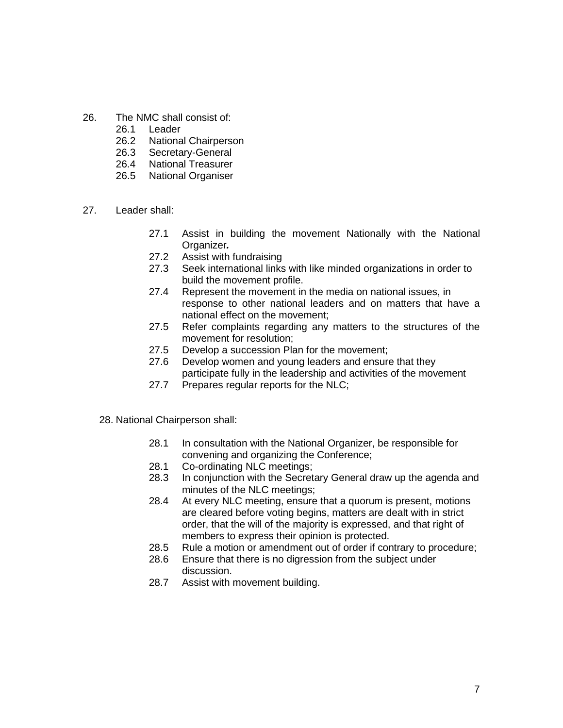- 26. The NMC shall consist of:
	- 26.1 Leader
	- 26.2 National Chairperson
	- 26.3 Secretary-General
	- 26.4 National Treasurer
	- 26.5 National Organiser
- 27. Leader shall:
	- 27.1 Assist in building the movement Nationally with the National Organizer*.*
	- 27.2 Assist with fundraising
	- 27.3 Seek international links with like minded organizations in order to build the movement profile.
	- 27.4 Represent the movement in the media on national issues, in response to other national leaders and on matters that have a national effect on the movement;
	- 27.5 Refer complaints regarding any matters to the structures of the movement for resolution;
	- 27.5 Develop a succession Plan for the movement;
	- 27.6 Develop women and young leaders and ensure that they participate fully in the leadership and activities of the movement
	- 27.7 Prepares regular reports for the NLC;
	- 28. National Chairperson shall:
		- 28.1 In consultation with the National Organizer, be responsible for convening and organizing the Conference;
		- 28.1 Co-ordinating NLC meetings;
		- 28.3 In conjunction with the Secretary General draw up the agenda and minutes of the NLC meetings;
		- 28.4 At every NLC meeting, ensure that a quorum is present, motions are cleared before voting begins, matters are dealt with in strict order, that the will of the majority is expressed, and that right of members to express their opinion is protected.
		- 28.5 Rule a motion or amendment out of order if contrary to procedure;
		- 28.6 Ensure that there is no digression from the subject under discussion.
		- 28.7 Assist with movement building.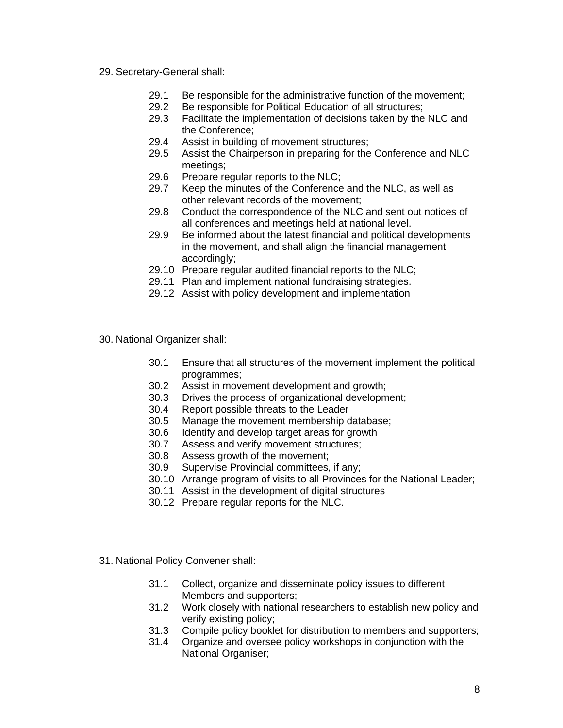- 29. Secretary-General shall:
	- 29.1 Be responsible for the administrative function of the movement;
	- 29.2 Be responsible for Political Education of all structures;
	- 29.3 Facilitate the implementation of decisions taken by the NLC and the Conference;
	- 29.4 Assist in building of movement structures;
	- 29.5 Assist the Chairperson in preparing for the Conference and NLC meetings;
	- 29.6 Prepare regular reports to the NLC;
	- 29.7 Keep the minutes of the Conference and the NLC, as well as other relevant records of the movement;
	- 29.8 Conduct the correspondence of the NLC and sent out notices of all conferences and meetings held at national level.
	- 29.9 Be informed about the latest financial and political developments in the movement, and shall align the financial management accordingly;
	- 29.10 Prepare regular audited financial reports to the NLC;
	- 29.11 Plan and implement national fundraising strategies.
	- 29.12 Assist with policy development and implementation
- 30. National Organizer shall:
	- 30.1 Ensure that all structures of the movement implement the political programmes;
	- 30.2 Assist in movement development and growth;
	- 30.3 Drives the process of organizational development;
	- 30.4 Report possible threats to the Leader
	- 30.5 Manage the movement membership database;
	- 30.6 Identify and develop target areas for growth
	- 30.7 Assess and verify movement structures;
	- 30.8 Assess growth of the movement;
	- 30.9 Supervise Provincial committees, if any;
	- 30.10 Arrange program of visits to all Provinces for the National Leader;
	- 30.11 Assist in the development of digital structures
	- 30.12 Prepare regular reports for the NLC.
- 31. National Policy Convener shall:
	- 31.1 Collect, organize and disseminate policy issues to different Members and supporters;
	- 31.2 Work closely with national researchers to establish new policy and verify existing policy;
	- 31.3 Compile policy booklet for distribution to members and supporters;
	- 31.4 Organize and oversee policy workshops in conjunction with the National Organiser;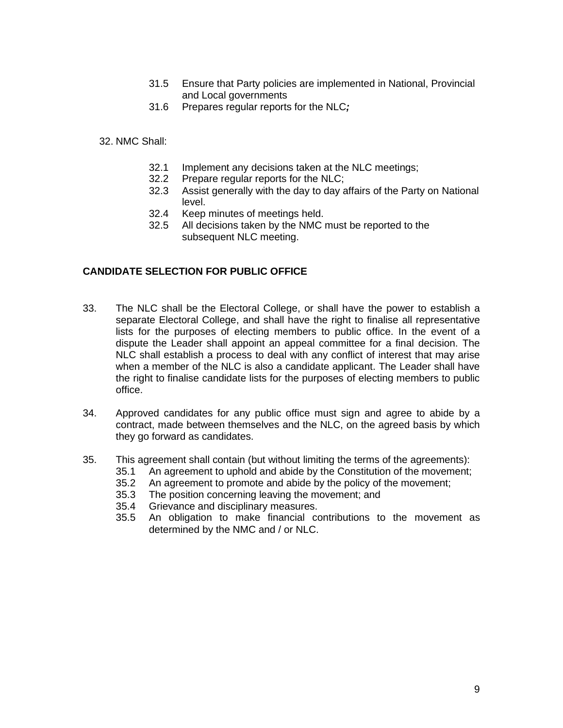- 31.5 Ensure that Party policies are implemented in National, Provincial and Local governments
- 31.6 Prepares regular reports for the NLC*;*

32. NMC Shall:

- 32.1 Implement any decisions taken at the NLC meetings;
- 32.2 Prepare regular reports for the NLC;
- 32.3 Assist generally with the day to day affairs of the Party on National level.
- 32.4 Keep minutes of meetings held.
- 32.5 All decisions taken by the NMC must be reported to the subsequent NLC meeting.

#### **CANDIDATE SELECTION FOR PUBLIC OFFICE**

- 33. The NLC shall be the Electoral College, or shall have the power to establish a separate Electoral College, and shall have the right to finalise all representative lists for the purposes of electing members to public office. In the event of a dispute the Leader shall appoint an appeal committee for a final decision. The NLC shall establish a process to deal with any conflict of interest that may arise when a member of the NLC is also a candidate applicant. The Leader shall have the right to finalise candidate lists for the purposes of electing members to public office.
- 34. Approved candidates for any public office must sign and agree to abide by a contract, made between themselves and the NLC, on the agreed basis by which they go forward as candidates.
- 35. This agreement shall contain (but without limiting the terms of the agreements):
	- 35.1 An agreement to uphold and abide by the Constitution of the movement;
	- 35.2 An agreement to promote and abide by the policy of the movement;
	- 35.3 The position concerning leaving the movement; and
	- 35.4 Grievance and disciplinary measures.
	- 35.5 An obligation to make financial contributions to the movement as determined by the NMC and / or NLC.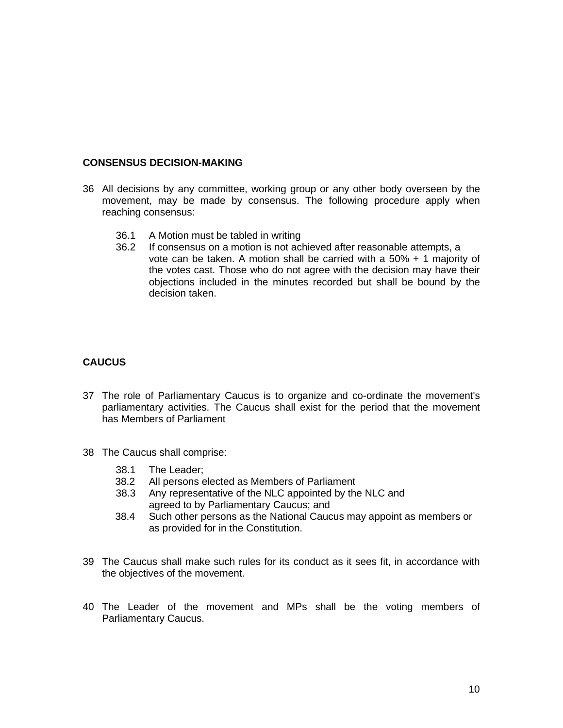### **CONSENSUS DECISION-MAKING**

- 36 All decisions by any committee, working group or any other body overseen by the movement, may be made by consensus. The following procedure apply when reaching consensus:
	- 36.1 A Motion must be tabled in writing
	- 36.2 If consensus on a motion is not achieved after reasonable attempts, a vote can be taken. A motion shall be carried with a 50% + 1 majority of the votes cast. Those who do not agree with the decision may have their objections included in the minutes recorded but shall be bound by the decision taken.

## **CAUCUS**

- 37 The role of Parliamentary Caucus is to organize and co-ordinate the movement's parliamentary activities. The Caucus shall exist for the period that the movement has Members of Parliament
- 38 The Caucus shall comprise:
	- 38.1 The Leader;
	- 38.2 All persons elected as Members of Parliament
	- 38.3 Any representative of the NLC appointed by the NLC and agreed to by Parliamentary Caucus; and
	- 38.4 Such other persons as the National Caucus may appoint as members or as provided for in the Constitution.
- 39 The Caucus shall make such rules for its conduct as it sees fit, in accordance with the objectives of the movement.
- 40 The Leader of the movement and MPs shall be the voting members of Parliamentary Caucus.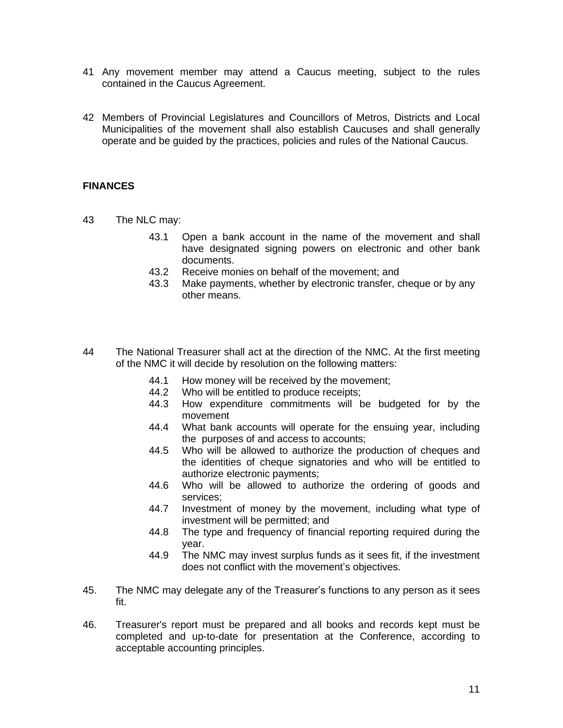- 41 Any movement member may attend a Caucus meeting, subject to the rules contained in the Caucus Agreement.
- 42 Members of Provincial Legislatures and Councillors of Metros, Districts and Local Municipalities of the movement shall also establish Caucuses and shall generally operate and be guided by the practices, policies and rules of the National Caucus.

## **FINANCES**

- 43 The NLC may:
	- 43.1 Open a bank account in the name of the movement and shall have designated signing powers on electronic and other bank documents.
	- 43.2 Receive monies on behalf of the movement; and
	- 43.3 Make payments, whether by electronic transfer, cheque or by any other means.
- 44 The National Treasurer shall act at the direction of the NMC. At the first meeting of the NMC it will decide by resolution on the following matters:
	- 44.1 How money will be received by the movement;
	- 44.2 Who will be entitled to produce receipts;
	- 44.3 How expenditure commitments will be budgeted for by the movement
	- 44.4 What bank accounts will operate for the ensuing year, including the purposes of and access to accounts;
	- 44.5 Who will be allowed to authorize the production of cheques and the identities of cheque signatories and who will be entitled to authorize electronic payments;
	- 44.6 Who will be allowed to authorize the ordering of goods and services;
	- 44.7 Investment of money by the movement, including what type of investment will be permitted; and
	- 44.8 The type and frequency of financial reporting required during the year.
	- 44.9 The NMC may invest surplus funds as it sees fit, if the investment does not conflict with the movement's objectives.
- 45. The NMC may delegate any of the Treasurer's functions to any person as it sees fit.
- 46. Treasurer's report must be prepared and all books and records kept must be completed and up-to-date for presentation at the Conference, according to acceptable accounting principles.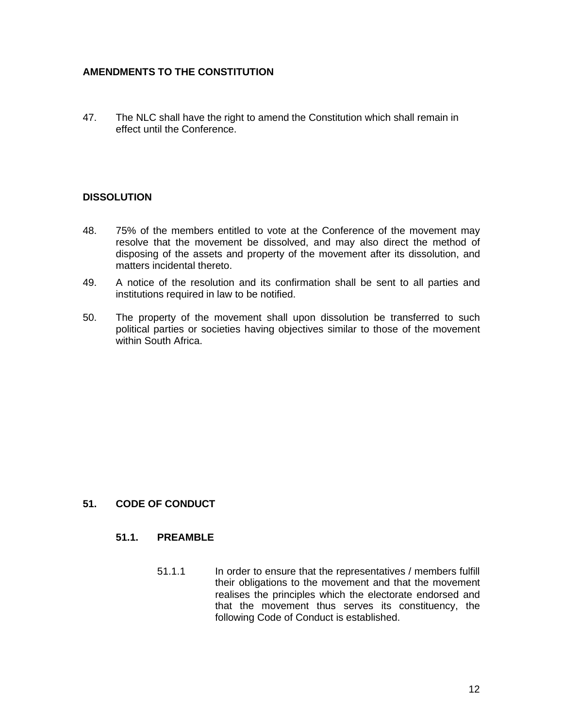## **AMENDMENTS TO THE CONSTITUTION**

47. The NLC shall have the right to amend the Constitution which shall remain in effect until the Conference.

## **DISSOLUTION**

- 48. 75% of the members entitled to vote at the Conference of the movement may resolve that the movement be dissolved, and may also direct the method of disposing of the assets and property of the movement after its dissolution, and matters incidental thereto.
- 49. A notice of the resolution and its confirmation shall be sent to all parties and institutions required in law to be notified.
- 50. The property of the movement shall upon dissolution be transferred to such political parties or societies having objectives similar to those of the movement within South Africa.

## **51. CODE OF CONDUCT**

#### **51.1. PREAMBLE**

51.1.1 In order to ensure that the representatives / members fulfill their obligations to the movement and that the movement realises the principles which the electorate endorsed and that the movement thus serves its constituency, the following Code of Conduct is established.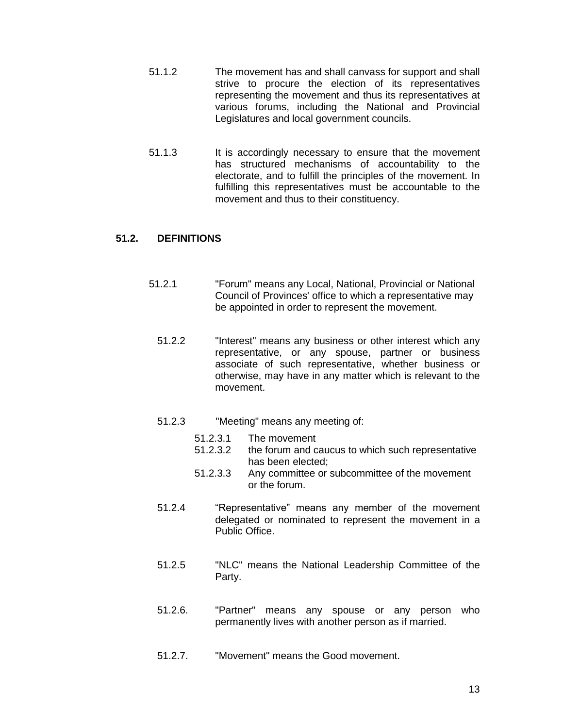- 51.1.2 The movement has and shall canvass for support and shall strive to procure the election of its representatives representing the movement and thus its representatives at various forums, including the National and Provincial Legislatures and local government councils.
- 51.1.3 It is accordingly necessary to ensure that the movement has structured mechanisms of accountability to the electorate, and to fulfill the principles of the movement. In fulfilling this representatives must be accountable to the movement and thus to their constituency.

## **51.2. DEFINITIONS**

- 51.2.1 "Forum" means any Local, National, Provincial or National Council of Provinces' office to which a representative may be appointed in order to represent the movement.
	- 51.2.2 "Interest" means any business or other interest which any representative, or any spouse, partner or business associate of such representative, whether business or otherwise, may have in any matter which is relevant to the movement.
	- 51.2.3 "Meeting" means any meeting of:
		- 51.2.3.1 The movement
		- 51.2.3.2 the forum and caucus to which such representative has been elected;
		- 51.2.3.3 Any committee or subcommittee of the movement or the forum.
	- 51.2.4 "Representative" means any member of the movement delegated or nominated to represent the movement in a Public Office.
	- 51.2.5 "NLC" means the National Leadership Committee of the Party.
	- 51.2.6. "Partner" means any spouse or any person who permanently lives with another person as if married.
	- 51.2.7. "Movement" means the Good movement.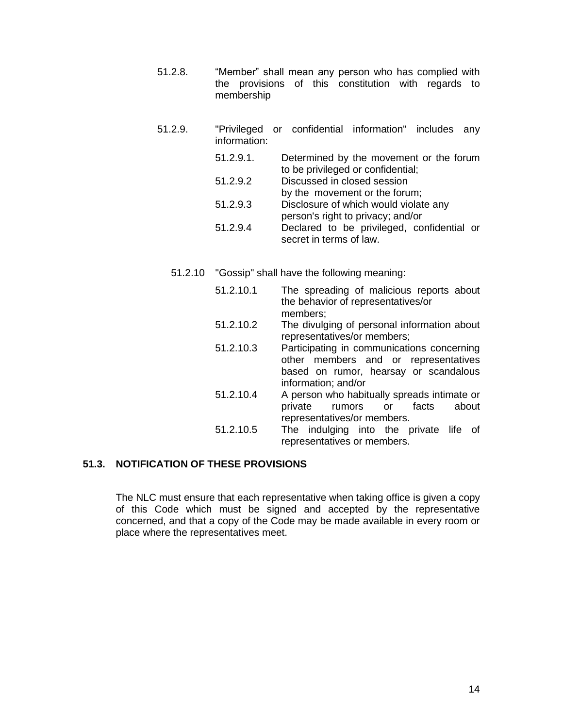51.2.8. "Member" shall mean any person who has complied with the provisions of this constitution with regards to membership

| 51.2.9. | information: | "Privileged or confidential information" includes any                        |
|---------|--------------|------------------------------------------------------------------------------|
|         | 51.2.9.1.    | Determined by the movement or the forum<br>to be privileged or confidential; |
|         | 51.2.9.2     | Discussed in closed session<br>by the movement or the forum;                 |
|         | 51.2.9.3     | Disclosure of which would violate any<br>person's right to privacy; and/or   |
|         | 51.2.9.4     | Declared to be privileged, confidential or<br>secret in terms of law.        |

- 51.2.10 "Gossip" shall have the following meaning:
	- 51.2.10.1 The spreading of malicious reports about the behavior of representatives/or members; 51.2.10.2 The divulging of personal information about representatives/or members; 51.2.10.3 Participating in communications concerning other members and or representatives based on rumor, hearsay or scandalous information; and/or 51.2.10.4 A person who habitually spreads intimate or private rumors or facts about representatives/or members. 51.2.10.5 The indulging into the private life of representatives or members.

## **51.3. NOTIFICATION OF THESE PROVISIONS**

The NLC must ensure that each representative when taking office is given a copy of this Code which must be signed and accepted by the representative concerned, and that a copy of the Code may be made available in every room or place where the representatives meet.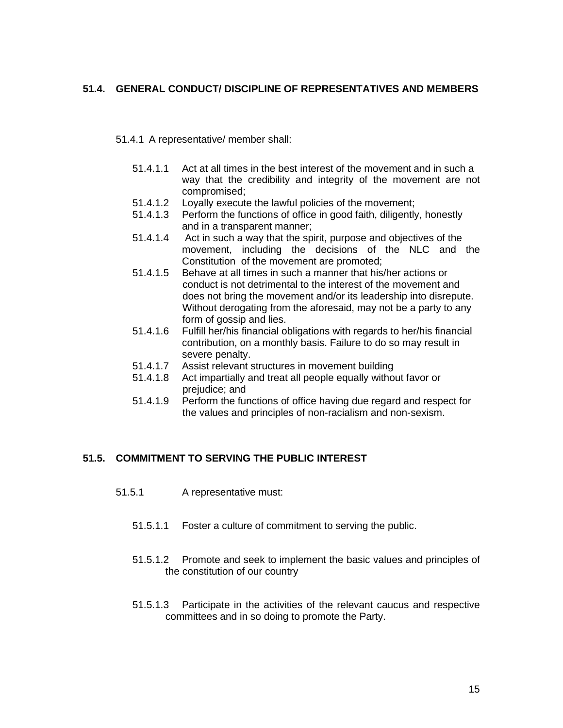## **51.4. GENERAL CONDUCT/ DISCIPLINE OF REPRESENTATIVES AND MEMBERS**

#### 51.4.1 A representative/ member shall:

- 51.4.1.1 Act at all times in the best interest of the movement and in such a way that the credibility and integrity of the movement are not compromised;
- 51.4.1.2 Loyally execute the lawful policies of the movement;
- 51.4.1.3 Perform the functions of office in good faith, diligently, honestly and in a transparent manner;
- 51.4.1.4 Act in such a way that the spirit, purpose and objectives of the movement, including the decisions of the NLC and the Constitution of the movement are promoted;
- 51.4.1.5 Behave at all times in such a manner that his/her actions or conduct is not detrimental to the interest of the movement and does not bring the movement and/or its leadership into disrepute. Without derogating from the aforesaid, may not be a party to any form of gossip and lies.
- 51.4.1.6 Fulfill her/his financial obligations with regards to her/his financial contribution, on a monthly basis. Failure to do so may result in severe penalty.
- 51.4.1.7 Assist relevant structures in movement building
- 51.4.1.8 Act impartially and treat all people equally without favor or prejudice; and
- 51.4.1.9 Perform the functions of office having due regard and respect for the values and principles of non-racialism and non-sexism.

## **51.5. COMMITMENT TO SERVING THE PUBLIC INTEREST**

- 51.5.1 A representative must:
	- 51.5.1.1 Foster a culture of commitment to serving the public.
	- 51.5.1.2 Promote and seek to implement the basic values and principles of the constitution of our country
	- 51.5.1.3 Participate in the activities of the relevant caucus and respective committees and in so doing to promote the Party.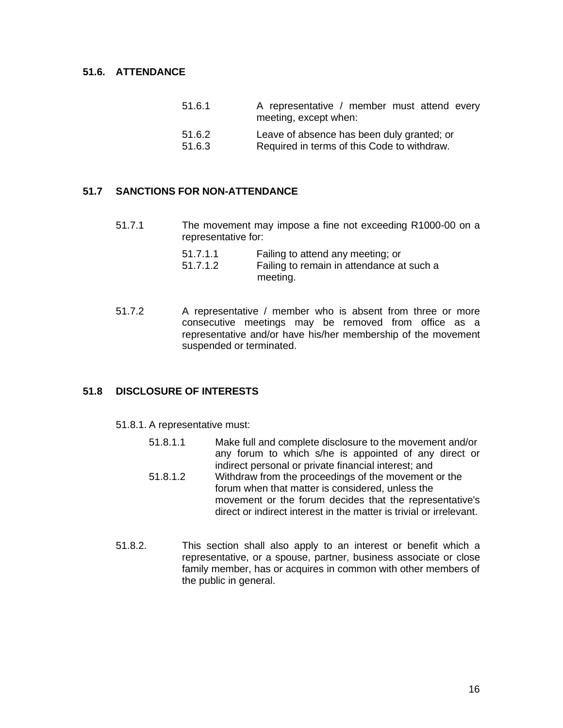### **51.6. ATTENDANCE**

| 51.6.1 | A representative / member must attend every<br>meeting, except when: |
|--------|----------------------------------------------------------------------|
| 51.6.2 | Leave of absence has been duly granted; or                           |
| 51.6.3 | Required in terms of this Code to withdraw.                          |

#### **51.7 SANCTIONS FOR NON-ATTENDANCE**

51.7.1 The movement may impose a fine not exceeding R1000-00 on a representative for:

| 51.7.1.1 | Failing to attend any meeting; or         |
|----------|-------------------------------------------|
| 51.7.1.2 | Failing to remain in attendance at such a |
|          | meeting.                                  |

51.7.2 A representative / member who is absent from three or more consecutive meetings may be removed from office as a representative and/or have his/her membership of the movement suspended or terminated.

## **51.8 DISCLOSURE OF INTERESTS**

- 51.8.1. A representative must:
	- 51.8.1.1 Make full and complete disclosure to the movement and/or any forum to which s/he is appointed of any direct or indirect personal or private financial interest; and
	- 51.8.1.2 Withdraw from the proceedings of the movement or the forum when that matter is considered, unless the movement or the forum decides that the representative's direct or indirect interest in the matter is trivial or irrelevant.
- 51.8.2. This section shall also apply to an interest or benefit which a representative, or a spouse, partner, business associate or close family member, has or acquires in common with other members of the public in general.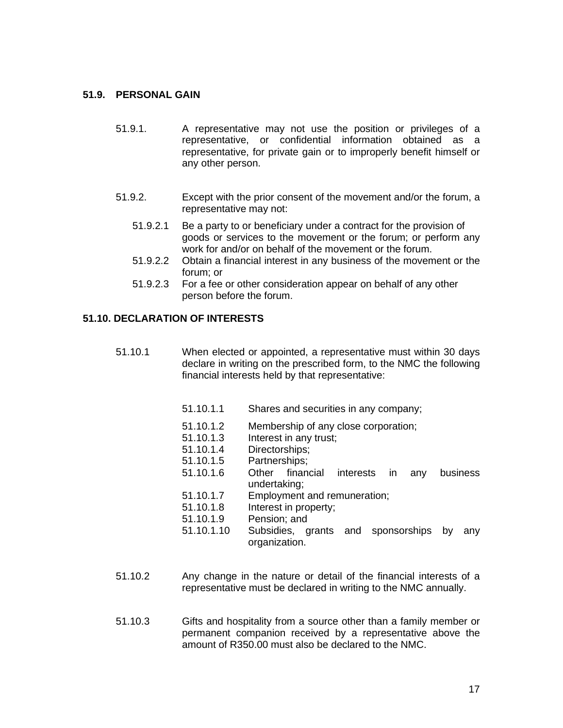#### **51.9. PERSONAL GAIN**

- 51.9.1. A representative may not use the position or privileges of a representative, or confidential information obtained as a representative, for private gain or to improperly benefit himself or any other person.
- 51.9.2. Except with the prior consent of the movement and/or the forum, a representative may not:
	- 51.9.2.1 Be a party to or beneficiary under a contract for the provision of goods or services to the movement or the forum; or perform any work for and/or on behalf of the movement or the forum.
	- 51.9.2.2 Obtain a financial interest in any business of the movement or the forum; or
	- 51.9.2.3 For a fee or other consideration appear on behalf of any other person before the forum.

## **51.10. DECLARATION OF INTERESTS**

- 51.10.1 When elected or appointed, a representative must within 30 days declare in writing on the prescribed form, to the NMC the following financial interests held by that representative:
	- 51.10.1.1 Shares and securities in any company;
	- 51.10.1.2 Membership of any close corporation;
	- 51.10.1.3 Interest in any trust;
	- 51.10.1.4 Directorships;
	- 51.10.1.5 Partnerships;
	- 51.10.1.6 Other financial interests in any business undertaking;
	- 51.10.1.7 Employment and remuneration;
	- 51.10.1.8 Interest in property;
	- 51.10.1.9 Pension; and
	- 51.10.1.10 Subsidies, grants and sponsorships by any organization.
- 51.10.2 Any change in the nature or detail of the financial interests of a representative must be declared in writing to the NMC annually.
- 51.10.3 Gifts and hospitality from a source other than a family member or permanent companion received by a representative above the amount of R350.00 must also be declared to the NMC.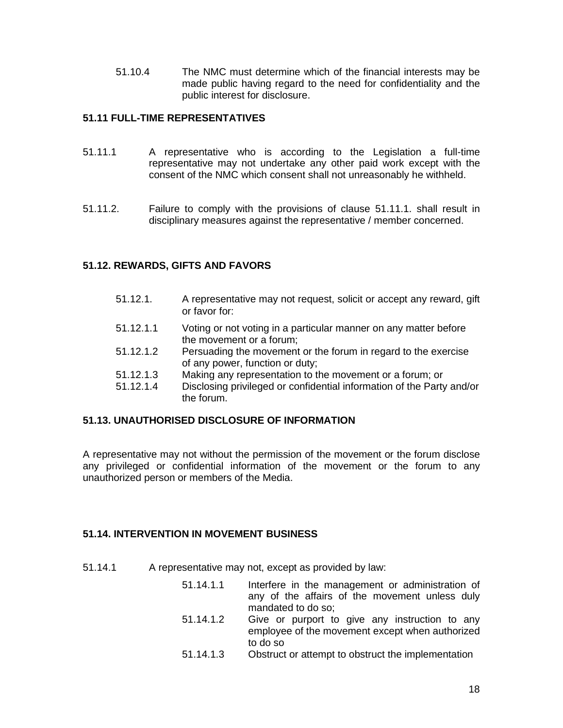51.10.4 The NMC must determine which of the financial interests may be made public having regard to the need for confidentiality and the public interest for disclosure.

## **51.11 FULL-TIME REPRESENTATIVES**

- 51.11.1 A representative who is according to the Legislation a full-time representative may not undertake any other paid work except with the consent of the NMC which consent shall not unreasonably he withheld.
- 51.11.2. Failure to comply with the provisions of clause 51.11.1. shall result in disciplinary measures against the representative / member concerned.

## **51.12. REWARDS, GIFTS AND FAVORS**

- 51.12.1. A representative may not request, solicit or accept any reward, gift or favor for:
- 51.12.1.1 Voting or not voting in a particular manner on any matter before the movement or a forum;
- 51.12.1.2 Persuading the movement or the forum in regard to the exercise of any power, function or duty;
- 51.12.1.3 Making any representation to the movement or a forum; or
- 51.12.1.4 Disclosing privileged or confidential information of the Party and/or the forum.

## **51.13. UNAUTHORISED DISCLOSURE OF INFORMATION**

A representative may not without the permission of the movement or the forum disclose any privileged or confidential information of the movement or the forum to any unauthorized person or members of the Media.

## **51.14. INTERVENTION IN MOVEMENT BUSINESS**

- 51.14.1 A representative may not, except as provided by law:
	- 51.14.1.1 Interfere in the management or administration of any of the affairs of the movement unless duly mandated to do so;
	- 51.14.1.2 Give or purport to give any instruction to any employee of the movement except when authorized to do so
	- 51.14.1.3 Obstruct or attempt to obstruct the implementation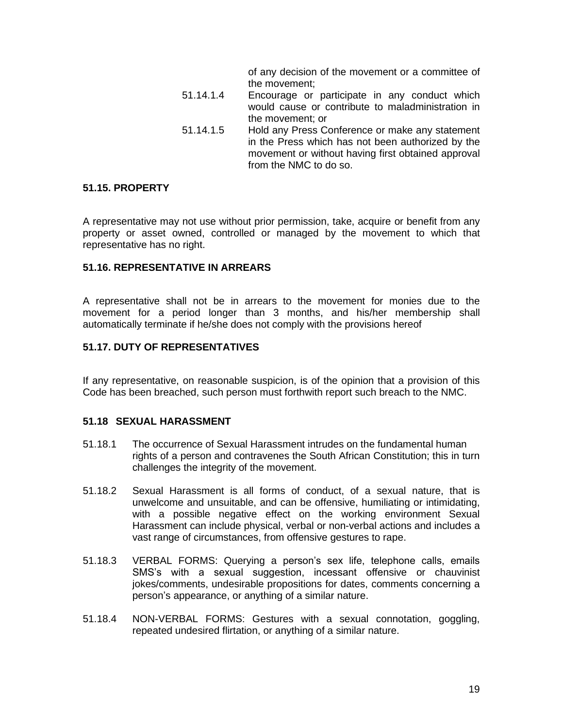of any decision of the movement or a committee of the movement;

- 51.14.1.4 Encourage or participate in any conduct which would cause or contribute to maladministration in the movement; or
- 51.14.1.5 Hold any Press Conference or make any statement in the Press which has not been authorized by the movement or without having first obtained approval from the NMC to do so.

#### **51.15. PROPERTY**

A representative may not use without prior permission, take, acquire or benefit from any property or asset owned, controlled or managed by the movement to which that representative has no right.

#### **51.16. REPRESENTATIVE IN ARREARS**

A representative shall not be in arrears to the movement for monies due to the movement for a period longer than 3 months, and his/her membership shall automatically terminate if he/she does not comply with the provisions hereof

#### **51.17. DUTY OF REPRESENTATIVES**

If any representative, on reasonable suspicion, is of the opinion that a provision of this Code has been breached, such person must forthwith report such breach to the NMC.

### **51.18 SEXUAL HARASSMENT**

- 51.18.1 The occurrence of Sexual Harassment intrudes on the fundamental human rights of a person and contravenes the South African Constitution; this in turn challenges the integrity of the movement.
- 51.18.2 Sexual Harassment is all forms of conduct, of a sexual nature, that is unwelcome and unsuitable, and can be offensive, humiliating or intimidating, with a possible negative effect on the working environment Sexual Harassment can include physical, verbal or non-verbal actions and includes a vast range of circumstances, from offensive gestures to rape.
- 51.18.3 VERBAL FORMS: Querying a person's sex life, telephone calls, emails SMS's with a sexual suggestion, incessant offensive or chauvinist jokes/comments, undesirable propositions for dates, comments concerning a person's appearance, or anything of a similar nature.
- 51.18.4 NON-VERBAL FORMS: Gestures with a sexual connotation, goggling, repeated undesired flirtation, or anything of a similar nature.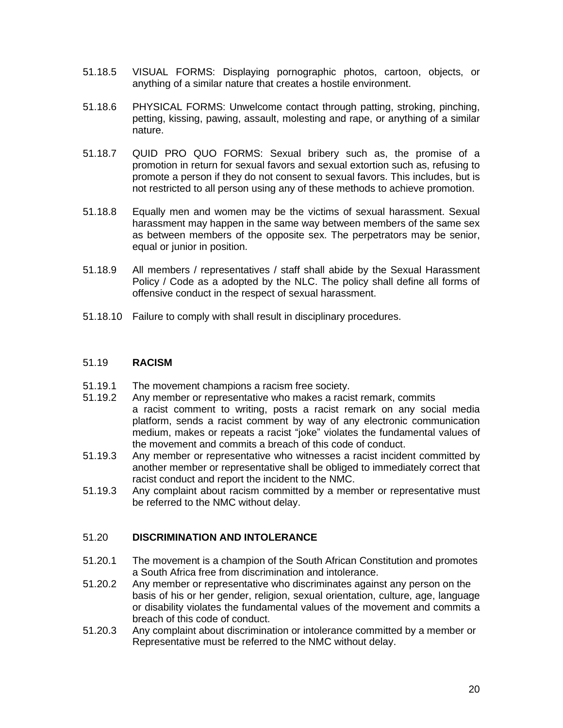- 51.18.5 VISUAL FORMS: Displaying pornographic photos, cartoon, objects, or anything of a similar nature that creates a hostile environment.
- 51.18.6 PHYSICAL FORMS: Unwelcome contact through patting, stroking, pinching, petting, kissing, pawing, assault, molesting and rape, or anything of a similar nature.
- 51.18.7 QUID PRO QUO FORMS: Sexual bribery such as, the promise of a promotion in return for sexual favors and sexual extortion such as, refusing to promote a person if they do not consent to sexual favors. This includes, but is not restricted to all person using any of these methods to achieve promotion.
- 51.18.8 Equally men and women may be the victims of sexual harassment. Sexual harassment may happen in the same way between members of the same sex as between members of the opposite sex. The perpetrators may be senior, equal or junior in position.
- 51.18.9 All members / representatives / staff shall abide by the Sexual Harassment Policy / Code as a adopted by the NLC. The policy shall define all forms of offensive conduct in the respect of sexual harassment.
- 51.18.10 Failure to comply with shall result in disciplinary procedures.

#### 51.19 **RACISM**

- 51.19.1 The movement champions a racism free society.
- 51.19.2 Any member or representative who makes a racist remark, commits a racist comment to writing, posts a racist remark on any social media platform, sends a racist comment by way of any electronic communication medium, makes or repeats a racist "joke" violates the fundamental values of the movement and commits a breach of this code of conduct.
- 51.19.3 Any member or representative who witnesses a racist incident committed by another member or representative shall be obliged to immediately correct that racist conduct and report the incident to the NMC.
- 51.19.3 Any complaint about racism committed by a member or representative must be referred to the NMC without delay.

## 51.20 **DISCRIMINATION AND INTOLERANCE**

- 51.20.1 The movement is a champion of the South African Constitution and promotes a South Africa free from discrimination and intolerance.
- 51.20.2 Any member or representative who discriminates against any person on the basis of his or her gender, religion, sexual orientation, culture, age, language or disability violates the fundamental values of the movement and commits a breach of this code of conduct.
- 51.20.3 Any complaint about discrimination or intolerance committed by a member or Representative must be referred to the NMC without delay.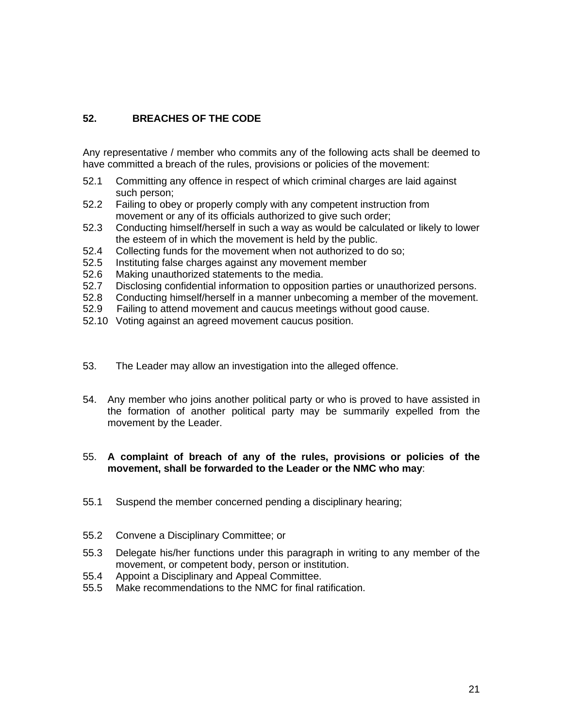# **52. BREACHES OF THE CODE**

Any representative / member who commits any of the following acts shall be deemed to have committed a breach of the rules, provisions or policies of the movement:

- 52.1 Committing any offence in respect of which criminal charges are laid against such person;
- 52.2 Failing to obey or properly comply with any competent instruction from movement or any of its officials authorized to give such order;
- 52.3 Conducting himself/herself in such a way as would be calculated or likely to lower the esteem of in which the movement is held by the public.
- 52.4 Collecting funds for the movement when not authorized to do so;
- 52.5 Instituting false charges against any movement member
- 52.6 Making unauthorized statements to the media.
- 52.7 Disclosing confidential information to opposition parties or unauthorized persons.
- 52.8 Conducting himself/herself in a manner unbecoming a member of the movement.
- 52.9 Failing to attend movement and caucus meetings without good cause.
- 52.10 Voting against an agreed movement caucus position.
- 53. The Leader may allow an investigation into the alleged offence.
- 54. Any member who joins another political party or who is proved to have assisted in the formation of another political party may be summarily expelled from the movement by the Leader.

## 55. **A complaint of breach of any of the rules, provisions or policies of the movement, shall be forwarded to the Leader or the NMC who may**:

- 55.1 Suspend the member concerned pending a disciplinary hearing;
- 55.2 Convene a Disciplinary Committee; or
- 55.3 Delegate his/her functions under this paragraph in writing to any member of the movement, or competent body, person or institution.
- 55.4 Appoint a Disciplinary and Appeal Committee.
- 55.5 Make recommendations to the NMC for final ratification.